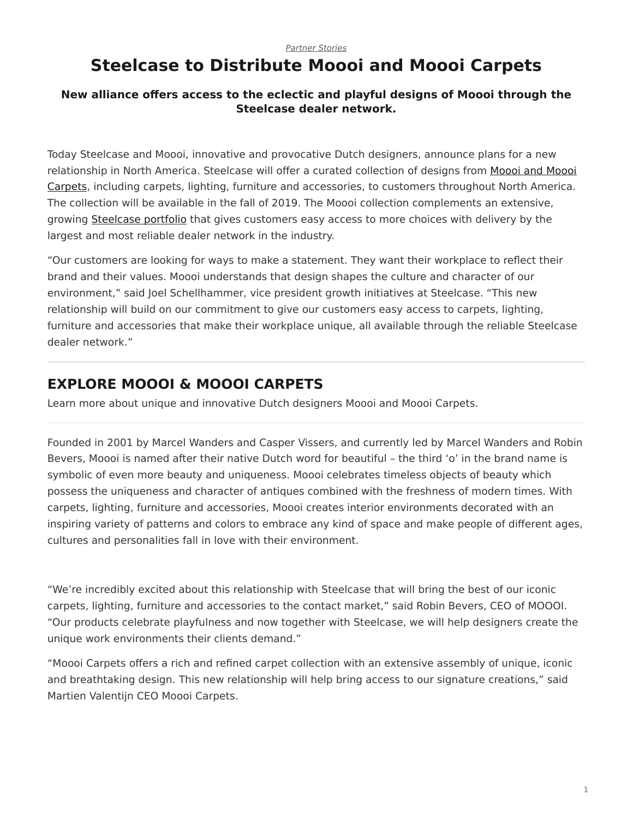## *[Partner Stories](https://www.steelcase.com/research/topics/partner-stories/)*

## <span id="page-0-0"></span>**Steelcase to Distribute Moooi and Moooi Carpets**

## **New alliance offers access to the eclectic and playful designs of Moooi through the Steelcase dealer network.**

Today Steelcase and Moooi, innovative and provocative Dutch designers, announce plans for a new relationship in North America. Steelcase will offer a curated collection of designs from [Moooi and Moooi](https://www.steelcase.com/brands/partners/moooi/) [Carpets](https://www.steelcase.com/brands/partners/moooi/), including carpets, lighting, furniture and accessories, to customers throughout North America. The collection will be available in the fall of 2019. The Moooi collection complements an extensive, growing [Steelcase portfolio](https://www.steelcase.com/partners) that gives customers easy access to more choices with delivery by the largest and most reliable dealer network in the industry.

"Our customers are looking for ways to make a statement. They want their workplace to reflect their brand and their values. Moooi understands that design shapes the culture and character of our environment," said Joel Schellhammer, vice president growth initiatives at Steelcase. "This new relationship will build on our commitment to give our customers easy access to carpets, lighting, furniture and accessories that make their workplace unique, all available through the reliable Steelcase dealer network."

## **EXPLORE MOOOI & MOOOI CARPETS**

Learn more about unique and innovative Dutch designers Moooi and Moooi Carpets.

Founded in 2001 by Marcel Wanders and Casper Vissers, and currently led by Marcel Wanders and Robin Bevers, Moooi is named after their native Dutch word for beautiful – the third 'o' in the brand name is symbolic of even more beauty and uniqueness. Moooi celebrates timeless objects of beauty which possess the uniqueness and character of antiques combined with the freshness of modern times. With carpets, lighting, furniture and accessories, Moooi creates interior environments decorated with an inspiring variety of patterns and colors to embrace any kind of space and make people of different ages, cultures and personalities fall in love with their environment.

"We're incredibly excited about this relationship with Steelcase that will bring the best of our iconic carpets, lighting, furniture and accessories to the contact market," said Robin Bevers, CEO of MOOOI. "Our products celebrate playfulness and now together with Steelcase, we will help designers create the unique work environments their clients demand."

"Moooi Carpets offers a rich and refined carpet collection with an extensive assembly of unique, iconic and breathtaking design. This new relationship will help bring access to our signature creations," said Martien Valentijn CEO Moooi Carpets.